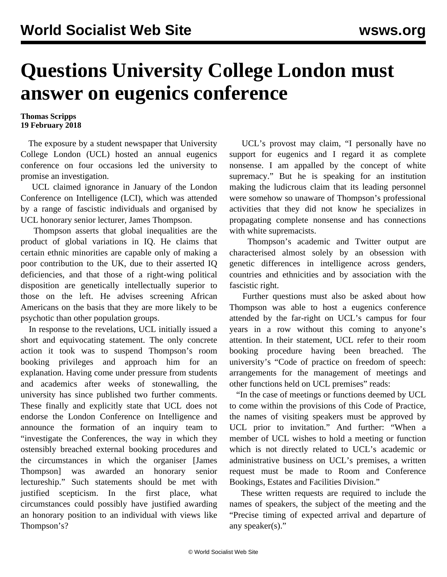## **Questions University College London must answer on eugenics conference**

## **Thomas Scripps 19 February 2018**

 The exposure by a student newspaper that University College London (UCL) hosted an annual eugenics conference on four occasions led the university to promise an investigation.

 UCL claimed ignorance in January of the London Conference on Intelligence (LCI), which was attended by a range of fascistic individuals and organised by UCL honorary senior lecturer, James Thompson.

 Thompson asserts that global inequalities are the product of global variations in IQ. He claims that certain ethnic minorities are capable only of making a poor contribution to the UK, due to their asserted IQ deficiencies, and that those of a right-wing political disposition are genetically intellectually superior to those on the left. He advises screening African Americans on the basis that they are more likely to be psychotic than other population groups.

 In response to the revelations, UCL initially issued a short and equivocating statement. The only concrete action it took was to suspend Thompson's room booking privileges and approach him for an explanation. Having come under pressure from students and academics after weeks of stonewalling, the university has since published two further comments. These finally and explicitly state that UCL does not endorse the London Conference on Intelligence and announce the formation of an inquiry team to "investigate the Conferences, the way in which they ostensibly breached external booking procedures and the circumstances in which the organiser [James Thompson] was awarded an honorary senior lectureship." Such statements should be met with justified scepticism. In the first place, what circumstances could possibly have justified awarding an honorary position to an individual with views like Thompson's?

 UCL's provost may claim, "I personally have no support for eugenics and I regard it as complete nonsense. I am appalled by the concept of white supremacy." But he is speaking for an institution making the ludicrous claim that its leading personnel were somehow so unaware of Thompson's professional activities that they did not know he specializes in propagating complete nonsense and has connections with white supremacists.

 Thompson's academic and Twitter output are characterised almost solely by an obsession with genetic differences in intelligence across genders, countries and ethnicities and by association with the fascistic right.

 Further questions must also be asked about how Thompson was able to host a eugenics conference attended by the far-right on UCL's campus for four years in a row without this coming to anyone's attention. In their statement, UCL refer to their room booking procedure having been breached. The university's "Code of practice on freedom of speech: arrangements for the management of meetings and other functions held on UCL premises" reads:

 "In the case of meetings or functions deemed by UCL to come within the provisions of this Code of Practice, the names of visiting speakers must be approved by UCL prior to invitation." And further: "When a member of UCL wishes to hold a meeting or function which is not directly related to UCL's academic or administrative business on UCL's premises, a written request must be made to Room and Conference Bookings, Estates and Facilities Division."

 These written requests are required to include the names of speakers, the subject of the meeting and the "Precise timing of expected arrival and departure of any speaker(s)."